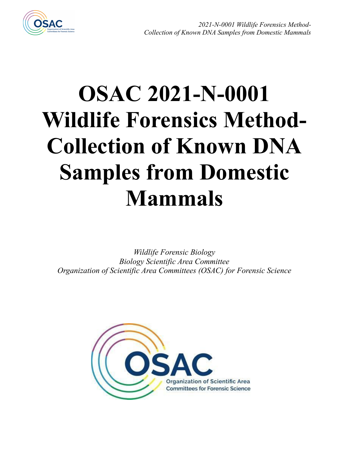

# **OSAC 2021-N-0001 Wildlife Forensics Method-Collection of Known DNA Samples from Domestic Mammals**

*Wildlife Forensic Biology Biology Scientific Area Committee Organization of Scientific Area Committees (OSAC) for Forensic Science*

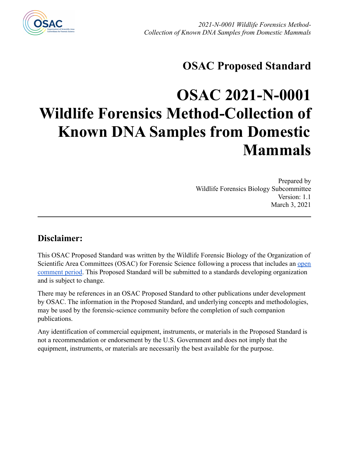

## **OSAC Proposed Standard**

# **OSAC 2021-N-0001 Wildlife Forensics Method-Collection of Known DNA Samples from Domestic Mammals**

Prepared by Wildlife Forensics Biology Subcommittee Version: 1.1 March 3, 2021

#### **Disclaimer:**

This OSAC Proposed Standard was written by the Wildlife Forensic Biology of the Organization of Scientific Area Committees (OSAC) for Forensic Science following a process that includes an [open](https://www.nist.gov/topics/organization-scientific-area-committees-forensic-science/registry-approval-process) [comment period](https://www.nist.gov/topics/organization-scientific-area-committees-forensic-science/registry-approval-process). This Proposed Standard will be submitted to a standards developing organization and is subject to change.

There may be references in an OSAC Proposed Standard to other publications under development by OSAC. The information in the Proposed Standard, and underlying concepts and methodologies, may be used by the forensic-science community before the completion of such companion publications.

Any identification of commercial equipment, instruments, or materials in the Proposed Standard is not a recommendation or endorsement by the U.S. Government and does not imply that the equipment, instruments, or materials are necessarily the best available for the purpose.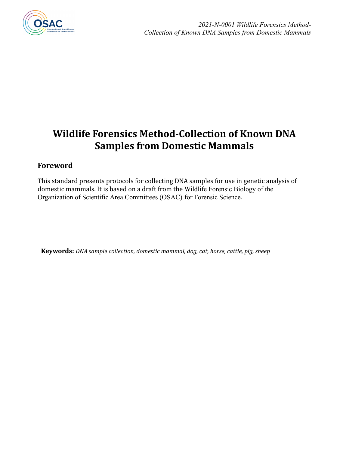

### **Wildlife Forensics Method-Collection of Known DNA Samples from Domestic Mammals**

#### **Foreword**

This standard presents protocols for collecting DNA samples for use in genetic analysis of domestic mammals. It is based on a draft from the Wildlife Forensic Biology of the Organization of Scientific Area Committees (OSAC) for Forensic Science.

**Keywords:** *DNA sample collection, domestic mammal, dog, cat, horse, cattle, pig, sheep*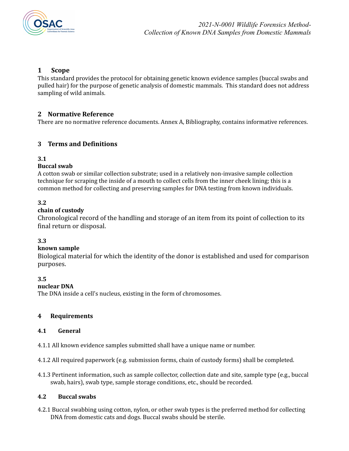

#### **1 Scope**

This standard provides the protocol for obtaining genetic known evidence samples (buccal swabs and pulled hair) for the purpose of genetic analysis of domestic mammals. This standard does not address sampling of wild animals.

#### **2 Normative Reference**

There are no normative reference documents. Annex A, Bibliography, contains informative references.

#### **3 Terms and Definitions**

#### **3.1**

#### **Buccal swab**

A cotton swab or similar collection substrate; used in a relatively non-invasive sample collection technique for scraping the inside of a mouth to collect cells from the inner cheek lining; this is a common method for collecting and preserving samples for DNA testing from known individuals.

#### **3.2**

#### **chain of custody**

Chronological record of the handling and storage of an item from its point of collection to its final return or disposal.

#### **3.3**

#### **known sample**

Biological material for which the identity of the donor is established and used for comparison purposes.

#### **3.5**

#### **nuclear DNA**

The DNA inside a cell's nucleus, existing in the form of chromosomes.

#### **4 Requirements**

#### **4.1 General**

4.1.1 All known evidence samples submitted shall have a unique name or number.

4.1.2 All required paperwork (e.g. submission forms, chain of custody forms) shall be completed.

4.1.3 Pertinent information, such as sample collector, collection date and site, sample type (e.g., buccal swab, hairs), swab type, sample storage conditions, etc., should be recorded.

#### **4.2 Buccal swabs**

4.2.1 Buccal swabbing using cotton, nylon, or other swab types is the preferred method for collecting DNA from domestic cats and dogs. Buccal swabs should be sterile.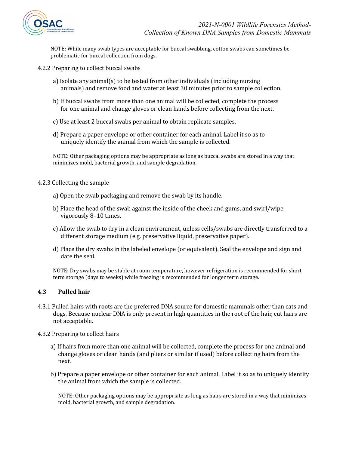

NOTE: While many swab types are acceptable for buccal swabbing, cotton swabs can sometimes be problematic for buccal collection from dogs.

- 4.2.2 Preparing to collect buccal swabs
	- a) Isolate any animal(s) to be tested from other individuals (including nursing animals) and remove food and water at least 30 minutes prior to sample collection.
	- b) If buccal swabs from more than one animal will be collected, complete the process for one animal and change gloves or clean hands before collecting from the next.
	- c) Use at least 2 buccal swabs per animal to obtain replicate samples.
	- d) Prepare a paper envelope or other container for each animal. Label it so as to uniquely identify the animal from which the sample is collected.

NOTE: Other packaging options may be appropriate as long as buccal swabs are stored in a way that minimizes mold, bacterial growth, and sample degradation.

#### 4.2.3 Collecting the sample

- a) Open the swab packaging and remove the swab by its handle.
- b) Place the head of the swab against the inside of the cheek and gums, and swirl/wipe vigorously 8–10 times.
- c) Allow the swab to dry in a clean environment, unless cells/swabs are directly transferred to a different storage medium (e.g. preservative liquid, preservative paper).
- d) Place the dry swabs in the labeled envelope (or equivalent). Seal the envelope and sign and date the seal.

NOTE: Dry swabs may be stable at room temperature, however refrigeration is recommended for short term storage (days to weeks) while freezing is recommended for longer term storage.

#### **4.3 Pulled hair**

- 4.3.1 Pulled hairs with roots are the preferred DNA source for domestic mammals other than cats and dogs. Because nuclear DNA is only present in high quantities in the root of the hair, cut hairs are not acceptable.
- 4.3.2 Preparing to collect hairs
	- a) If hairs from more than one animal will be collected, complete the process for one animal and change gloves or clean hands (and pliers or similar if used) before collecting hairs from the next.
	- b) Prepare a paper envelope or other container for each animal. Label it so as to uniquely identify the animal from which the sample is collected.

NOTE: Other packaging options may be appropriate as long as hairs are stored in a way that minimizes mold, bacterial growth, and sample degradation.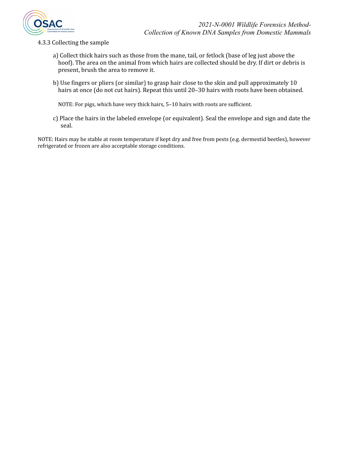

- 4.3.3 Collecting the sample
	- a) Collect thick hairs such as those from the mane, tail, or fetlock (base of leg just above the hoof). The area on the animal from which hairs are collected should be dry. If dirt or debris is present, brush the area to remove it.
	- b) Use fingers or pliers (or similar) to grasp hair close to the skin and pull approximately 10 hairs at once (do not cut hairs). Repeat this until 20-30 hairs with roots have been obtained.

NOTE: For pigs, which have very thick hairs, 5–10 hairs with roots are sufficient.

c) Place the hairs in the labeled envelope (or equivalent). Seal the envelope and sign and date the seal.

NOTE: Hairs may be stable at room temperature if kept dry and free from pests (e.g. dermestid beetles), however refrigerated or frozen are also acceptable storage conditions.